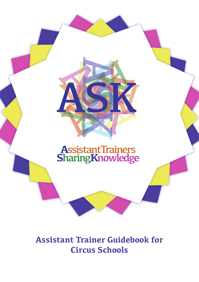

# **Assistant Trainer Guidebook for Circus Schools**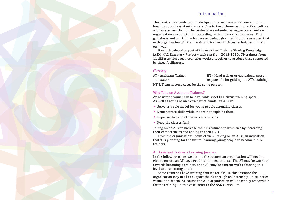### Introduction

This booklet is a guide to provide tips for circus training organisations on how to support assistant trainers. Due to the differences in practice, culture and laws across the EU, the contents are intended as suggestions, and each organisation can adapt them according to their own circumstances. This guidebook and curriculum focuses on pedagogical training: it is assumed that each organisation will train assistant trainers in circus techniques in their own way. This booklet is a guide to any three contracts we are the contract of the contract of the contract of the contract of the contract of the contract of the contract of the contract of the contract of the contract of the con

It was developed as part of the Assistant Trainers Sharing Knowledge (ASK) KA2 Erasmus+ Project which ran from 2018-2020. 79 trainers from 11 different European countries worked together to produce this, supported by three facilitators.

#### Glossary

AT - Assistant Trainer **HT** - Head trainer or equivalent: person T - Trainer responsible for guiding the AT's training. HT & T can in some cases be the same person.

### Why Take on Assistant Trainers?

An assistant trainer can be a valuable asset to a circus training space. As well as acting as an extra pair of hands, an AT can:

- Serve as a role model for young people attending classes
- Demonstrate skills while the trainer explains them
- Improve the ratio of trainers to students
- Keep the classes fun!

Taking on an AT can increase the AT's future opportunities by increasing their competencies and adding to their CV's.

From the organisation's point of view, taking on an AT is an indication that it is planning for the future: training young people to become future trainers.

### An Assistant Trainer's Learning Journey

In the following pages we outline the support an organisation will need to give to ensure an AT has a good training experience. The AT may be working towards becoming a trainer, or an AT may be content with achieving this level and remaining an AT.

Some countries have training courses for ATs. In this instance the organisation may need to support the AT through an internship. In countries without an official AT course the AT's organisation will be wholly responsible for the training. In this case, refer to the ASK curriculum.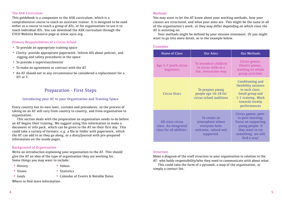### The ASK Curriculum

This guidebook is a companion to the ASK curriculum, which is a comprehensive course to teach an assistant trainer. It is designed to be used either as a course to teach a group of ATs, or for organisations to use it to teach individual ATs. You can download the ASK curriculum through the EYCO Website Resource page at www.eyco.org.

### Primary Responsibilities of a Circus School

- To provide an appropriate training space
- Clarity: provide appropriate paperwork. Inform ATs about policies, and rigging and safety procedures in the space
- To provide a supervisor/mentor
- To make an agreement or contract with the AT
- An AT should not in any circumstance be considered a replacement for a HT or T.

# Preparation - First Steps

### Introducing your AT to your Organisation and Training Space

Every country has its own laws, customs and procedures, so the process of taking on an AT will vary from country to country, and from organisation to organisation.

This section deals with the preparation an organisation needs to do before an AT begins their training. We suggest using this information to make a document or info pack, which can be given to the AT on their first day. This could take a variety of formats: e.g. a file or folder with paperwork, which the AT can add to as they go along, or a diary/journal with pre-prepared information on the inside pages.

### Background of Organisation

Write an introduction explaining your organisation to the AT. This should give the AT an idea of the type of organisation they are working for. Some things you may want to include:

- History Values
- Vision Statistics
- 

- -
- Goals Calendar of Events & Notable Dates

### Where to find more information

### **Methods**

You may want to let the AT know about your working methods, how your classes are structured, and what your aims are. This might be the same in all of the organisation's work, or they may differ depending on which class the AT is assisting on.

Your methods might be defined by your mission statement. Or you might want to go into more detail, as in the example below.

### Examples

| <b>Name of Class</b>                                                 | <b>Our Aims</b>                                                                         | <b>Our Methods</b>                                                                                                                                  |
|----------------------------------------------------------------------|-----------------------------------------------------------------------------------------|-----------------------------------------------------------------------------------------------------------------------------------------------------|
| Age 5-7 youth circus<br>beginners                                    | To introduce children<br>to circus skills in a<br>fun, interactive way                  | Circus games,<br>theatre games,<br>working on whole<br>group activities                                                                             |
| <b>Circus Stars</b>                                                  | To prepare young<br>people age 16-18 for<br>circus school auditions                     | Conditioning and<br>flexibility sessions<br>in each class.<br>Small group and<br>1:1 training. Work<br>towards termly<br>performances               |
| All-stars circus<br>class. An integrated<br>class for all abilities. | To create an<br>atmosphere where<br>everyone feels<br>welcome, valued and<br>supported. | Circus games; peer-<br>to-peer learning;<br><b>Focus on supporting</b><br>young people- if<br>they want to try<br>something, we will<br>find a way! |

### Structure

Make a diagram of the staff structure in your organisation in relation to the AT: who holds responsibility/who they need to communicate with about what.

This could take the form of a pyramid, a map of the organisation, or simply a contact list.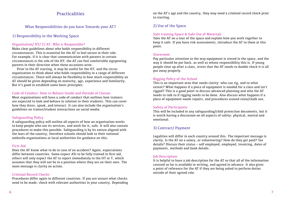### **Practicalities**

### What Responsibilities do you have Towards your AT?

### 1) Responsibility in the Working Space

### Organisation/ HT/ T/ AT: Who is Responsible?

Make clear guidelines about who holds responsibility in different circumstances. This is essential for the AT to feel secure in their role. For example, if it is clear that communication with parents in certain circumstances is the role of the HT, the AT can feel comfortable signposting parents in their direction when these occasions arise.

Prior to the AT starting, it may be useful for the HT, and the circus organisation to think about who holds responsibility in a range of different circumstances. There will always be flexibility in how much responsibility an AT should be given depending on maturity, age, experience and familiarity. But it's good to establish some basic principles.

### Code of Conduct: How to Behave Inside and Outside of Classes

Most organisations will have a code of conduct that outlines how trainers are expected to look and behave in relation to their students. This can cover how they dress, speak, and interact. It can also include the organisation's guidelines on trainer/student interactions on social media.

### Safeguarding Policy

A safeguarding policy will outline all aspects of how an organisation works to keep people who use its services, and work for it, safe. It will also contain procedures to make this possible. Safeguarding is by its nature aligned with the laws of the country, therefore schools should look to their national umbrella organisations or local authorities for guidance on this.

### First Aid

Does the AT know what to do in case of an accident? Again, expectations differ between countries. Some expect ATs to be fully trained in first aid, others will only expect the AT to report immediately to the HT or T, which assumes that they will not be in a position where they are on their own. The main message is clarity on action.

### Criminal Record Checks

Procedures differ again in different countries. If you are unsure what checks need to be made, check with relevant authorities in your country. Depending on the AT's age and the country, they may need a criminal record check prior to starting.

## 2) Use of the Space

### Safe training Space & Safe Use of Materials

Take the AT on a tour of the space and explain how you work together to keep it safe. If you have risk assessments, introduce the AT to them at this point.

### Storeroom

Pay particular attention to the way equipment is stored in the space, and the way it should be put back, as well as whose responsibility this is. If young people clear up after a class, stress that the AT needs to double check it is all put away properly.

### Rigging Policy of the School

This is an important area that needs clarity: who can rig, and to what extent? What happens if a piece of equipment is needed for a class and isn't rigged? This is a good point to discuss advanced planning and who the AT needs to talk to if rigging needs to be done. Also discuss what happens if a piece of equipment needs repairs, and procedures around rosin/chalk use.

### Safety of Participants

This will be included in any safeguarding/child protection documents, but it is worth having a discussion on all aspects of safety: physical, mental and emotional.

### 3) Contract/ Payment

Legalities will differ in each country around this. The important message is clarity. Is the AT on a salary, or volunteering? How do they get paid? Tax details? Discuss their status – self employed, employed, invoicing, dates of payments, methods and bank details.

### **Job Description**

It is helpful to have a job description for the AT so that all of the information covered so far is available in writing, and agreed in advance. It also gives a point of reference for the AT if they are being asked to perform duties outside of their agreed role.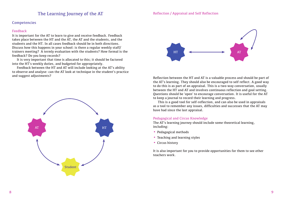### The Learning Journey of the AT

### **Competencies**

#### Feedback

It is important for the AT to learn to give and receive feedback. Feedback takes place between the HT and the AT, the AT and the students, and the students and the HT. In all cases feedback should be in both directions. Discuss how this happens in your school: is there a regular weekly staff/ trainers meeting? A termly evaluation with the students? How formal is the feedback? Do you keep records?

It is very important that time is allocated to this; it should be factored into the HT's weekly duties, and budgeted for appropriately.

Feedback between the HT and AT will include looking at the AT's ability to observe and analyse: can the AT look at technique in the student's practice and suggest adjustments?





Reflection between the HT and AT is a valuable process and should be part of the AT's learning. They should also be encouraged to self reflect. A good way to do this is as part of an appraisal. This is a two-way conversation, usually between the HT and AT and involves continuous reflection and goal setting. Questions should be 'open' to encourage conversation. It is useful for the AT to keep a journal to record their learning and progress.

This is a good tool for self-reflection, and can also be used in appraisals as a tool to remember any issues, difficulties and successes that the AT may have had since the last appraisal.

### Pedagogical and Circus Knowledge

The AT's learning journey should include some theoretical learning, including:

- Pedagogical methods
- Teaching and learning styles
- Circus history

It is also important for you to provide opportunities for them to see other teachers work.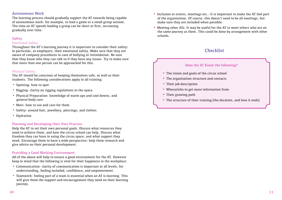### Autonomous Work

The learning process should gradually support the AT towards being capable of autonomous work: for example, to lead a game or a small group session. The time an AT spends leading a group can be short at first, increasing gradually over time.

### **Safety**

### Emotional Safety

Throughout the AT's learning journey it is important to consider their safety: in particular, as employers, their emotional safety. Make sure that they are aware of company procedures in case of bullying or intimidation. Be sure that they know who they can talk to if they have any issues. Try to make sure that more than one person can be approached for this.

### Physical Safety

The AT should be conscious of keeping themselves safe, as well as their students. The following considerations apply in all training:

- Spotting- how to spot
- Rigging- clarity on rigging regulations in the space
- Physical Preparation- knowledge of warm ups and cool downs, and general body care
- Mats- how to use and care for them
- Safety- around hair, jewellery, piercings, and clothes
- Hydration

### Planning and Developing their Own Practice

Help the AT to set their own personal goals. Discuss what resources they need to achieve them, and how the circus school can help. Discuss what freedom they can have in using the circus space, and what support they need. Encourage them to have a wide perspective: help them research and give advice on their personal development.

### Providing a Good Working Environment

All of the above will help to ensure a good environment for the AT. However keep in mind that the following is vital for their happiness in the workplace:

- Communication- clarity of communication is important at all levels, for understanding, feeling included, confidence, and empowerment.
- Teamwork- feeling part of a team is essential when an AT is learning. This will give them the support and encouragement they need on their learning journey.
- Inclusion at events, meetings etc.- It is important to make the AT feel part of the organisation. Of course, this doesn't need to be all meetings, but make sure they are included when possible.
- Meeting other ATs- It may be useful for the AT to meet others who are on the same journey as them. This could be done by arrangement with other schools.

# Checklist

### Does the AT Know the following?

- The vision and goals of the circus school
- The organisation structure and contacts
- Their job description
- Where/who to get more information from
- Their growing path
- The structure of their training (the duration, and how it ends)